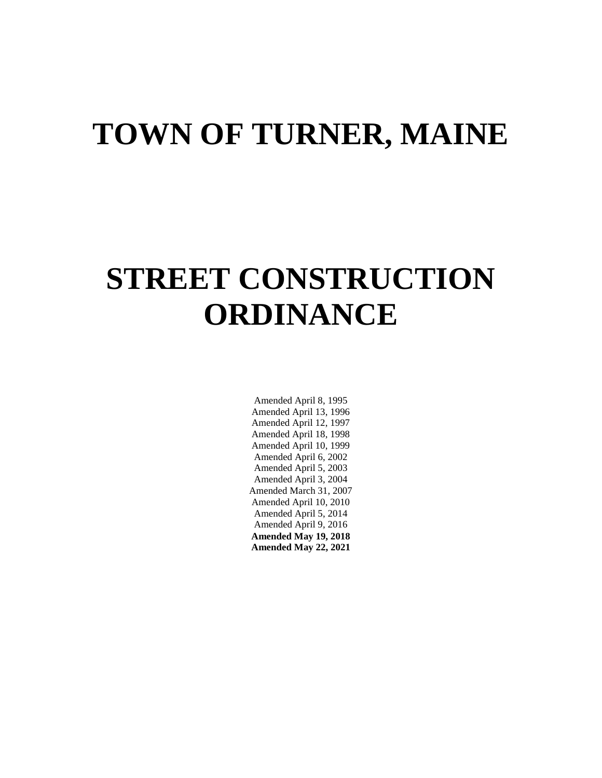# **TOWN OF TURNER, MAINE**

# **STREET CONSTRUCTION ORDINANCE**

Amended April 8, 1995 Amended April 13, 1996 Amended April 12, 1997 Amended April 18, 1998 Amended April 10, 1999 Amended April 6, 2002 Amended April 5, 2003 Amended April 3, 2004 Amended March 31, 2007 Amended April 10, 2010 Amended April 5, 2014 Amended April 9, 2016 **Amended May 19, 2018 Amended May 22, 2021**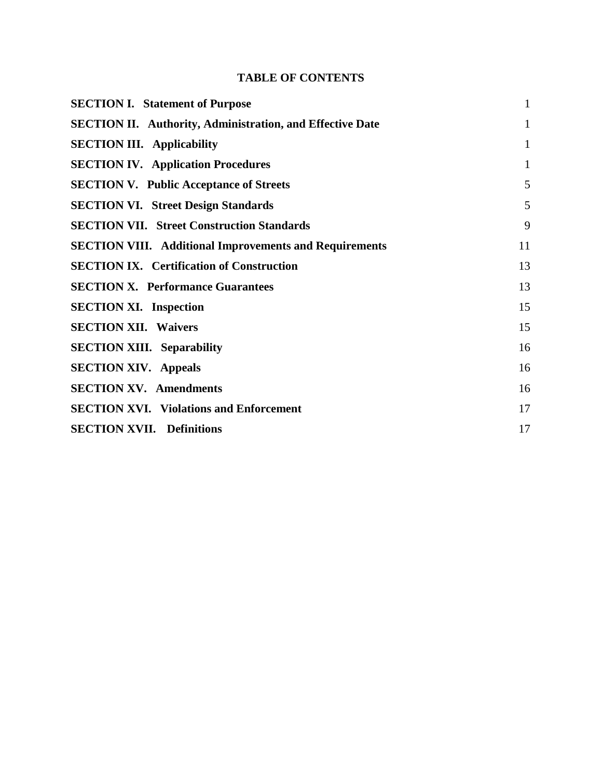# **TABLE OF CONTENTS**

| <b>SECTION I. Statement of Purpose</b>                           | $\mathbf{1}$ |
|------------------------------------------------------------------|--------------|
| <b>SECTION II. Authority, Administration, and Effective Date</b> | $\mathbf{1}$ |
| <b>SECTION III.</b> Applicability                                | $\mathbf{1}$ |
| <b>SECTION IV.</b> Application Procedures                        | $\mathbf{1}$ |
| <b>SECTION V. Public Acceptance of Streets</b>                   | 5            |
| <b>SECTION VI. Street Design Standards</b>                       | 5            |
| <b>SECTION VII. Street Construction Standards</b>                | 9            |
| <b>SECTION VIII.</b> Additional Improvements and Requirements    | 11           |
| <b>SECTION IX. Certification of Construction</b>                 | 13           |
| <b>SECTION X. Performance Guarantees</b>                         | 13           |
| <b>SECTION XI. Inspection</b>                                    | 15           |
| <b>SECTION XII. Waivers</b>                                      | 15           |
| <b>SECTION XIII.</b> Separability                                | 16           |
| <b>SECTION XIV.</b> Appeals                                      | 16           |
| <b>SECTION XV. Amendments</b>                                    | 16           |
| <b>SECTION XVI.</b> Violations and Enforcement                   | 17           |
| <b>SECTION XVII. Definitions</b>                                 | 17           |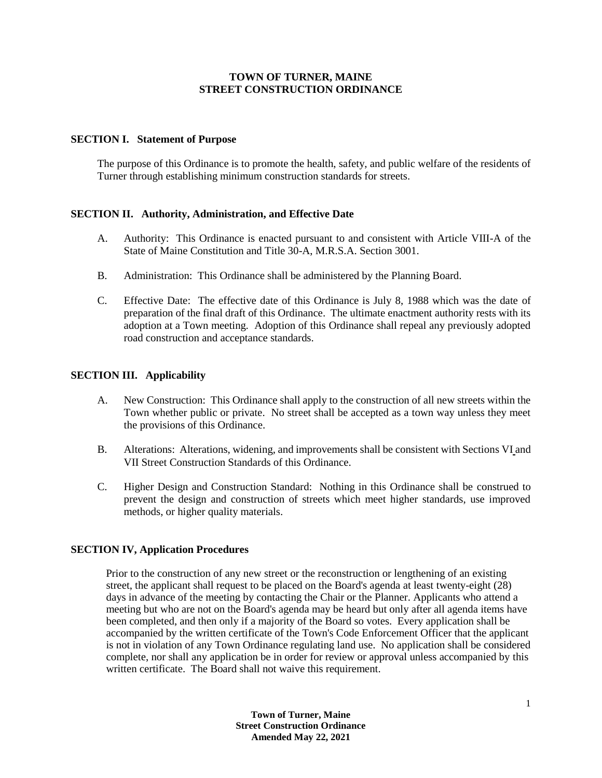## **TOWN OF TURNER, MAINE STREET CONSTRUCTION ORDINANCE**

#### **SECTION I. Statement of Purpose**

The purpose of this Ordinance is to promote the health, safety, and public welfare of the residents of Turner through establishing minimum construction standards for streets.

## **SECTION II. Authority, Administration, and Effective Date**

- A. Authority: This Ordinance is enacted pursuant to and consistent with Article VIII-A of the State of Maine Constitution and Title 30-A, M.R.S.A. Section 3001.
- B. Administration: This Ordinance shall be administered by the Planning Board.
- C. Effective Date: The effective date of this Ordinance is July 8, 1988 which was the date of preparation of the final draft of this Ordinance. The ultimate enactment authority rests with its adoption at a Town meeting. Adoption of this Ordinance shall repeal any previously adopted road construction and acceptance standards.

## **SECTION III. Applicability**

- A. New Construction: This Ordinance shall apply to the construction of all new streets within the Town whether public or private. No street shall be accepted as a town way unless they meet the provisions of this Ordinance.
- B. Alterations: Alterations, widening, and improvements shall be consistent with Sections VI and VII Street Construction Standards of this Ordinance.
- C. Higher Design and Construction Standard: Nothing in this Ordinance shall be construed to prevent the design and construction of streets which meet higher standards, use improved methods, or higher quality materials.

## **SECTION IV, Application Procedures**

 Prior to the construction of any new street or the reconstruction or lengthening of an existing street, the applicant shall request to be placed on the Board's agenda at least twenty-eight (28) days in advance of the meeting by contacting the Chair or the Planner. Applicants who attend a meeting but who are not on the Board's agenda may be heard but only after all agenda items have been completed, and then only if a majority of the Board so votes. Every application shall be accompanied by the written certificate of the Town's Code Enforcement Officer that the applicant is not in violation of any Town Ordinance regulating land use. No application shall be considered complete, nor shall any application be in order for review or approval unless accompanied by this written certificate. The Board shall not waive this requirement.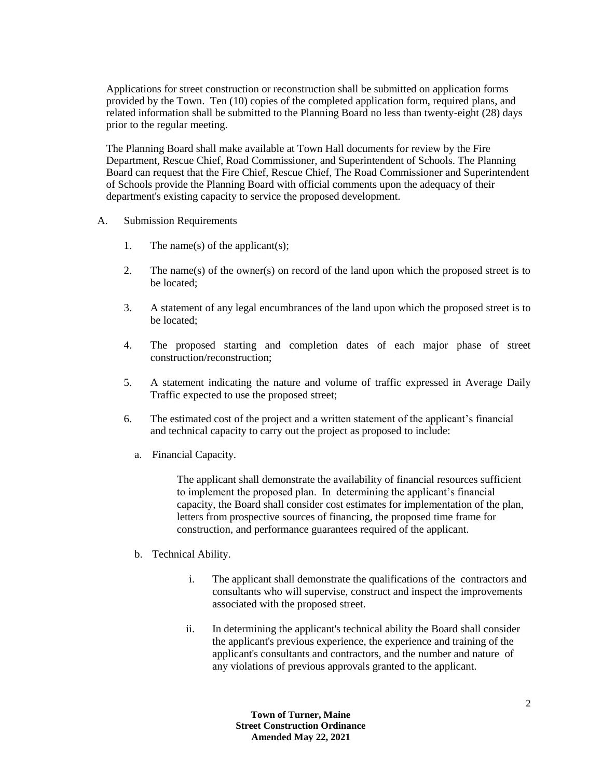Applications for street construction or reconstruction shall be submitted on application forms provided by the Town. Ten (10) copies of the completed application form, required plans, and related information shall be submitted to the Planning Board no less than twenty-eight (28) days prior to the regular meeting.

The Planning Board shall make available at Town Hall documents for review by the Fire Department, Rescue Chief, Road Commissioner, and Superintendent of Schools. The Planning Board can request that the Fire Chief, Rescue Chief, The Road Commissioner and Superintendent of Schools provide the Planning Board with official comments upon the adequacy of their department's existing capacity to service the proposed development.

- A. Submission Requirements
	- 1. The name(s) of the applicant(s);
	- 2. The name(s) of the owner(s) on record of the land upon which the proposed street is to be located;
	- 3. A statement of any legal encumbrances of the land upon which the proposed street is to be located;
	- 4. The proposed starting and completion dates of each major phase of street construction/reconstruction;
	- 5. A statement indicating the nature and volume of traffic expressed in Average Daily Traffic expected to use the proposed street;
	- 6. The estimated cost of the project and a written statement of the applicant's financial and technical capacity to carry out the project as proposed to include:
		- a. Financial Capacity.

The applicant shall demonstrate the availability of financial resources sufficient to implement the proposed plan. In determining the applicant's financial capacity, the Board shall consider cost estimates for implementation of the plan, letters from prospective sources of financing, the proposed time frame for construction, and performance guarantees required of the applicant.

- b. Technical Ability.
	- i. The applicant shall demonstrate the qualifications of the contractors and consultants who will supervise, construct and inspect the improvements associated with the proposed street.
	- ii. In determining the applicant's technical ability the Board shall consider the applicant's previous experience, the experience and training of the applicant's consultants and contractors, and the number and nature of any violations of previous approvals granted to the applicant.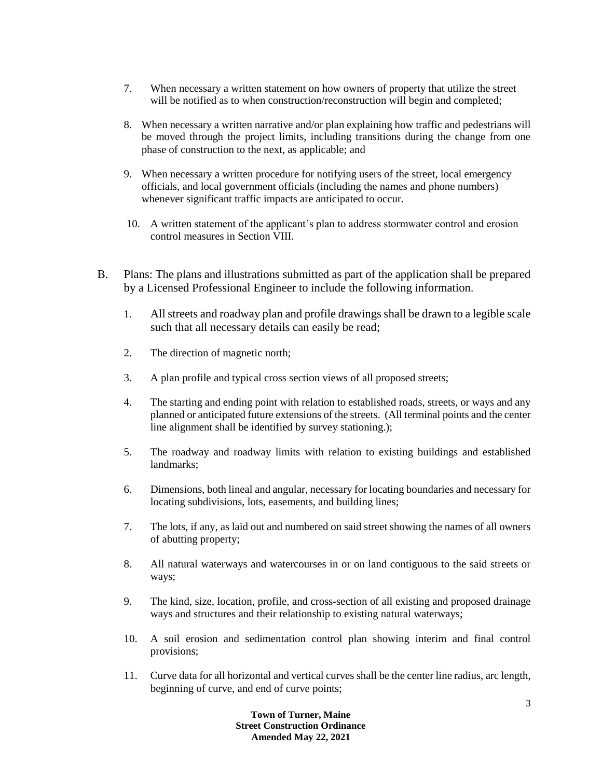- 7. When necessary a written statement on how owners of property that utilize the street will be notified as to when construction/reconstruction will begin and completed;
- 8. When necessary a written narrative and/or plan explaining how traffic and pedestrians will be moved through the project limits, including transitions during the change from one phase of construction to the next, as applicable; and
- 9. When necessary a written procedure for notifying users of the street, local emergency officials, and local government officials (including the names and phone numbers) whenever significant traffic impacts are anticipated to occur.
- 10. A written statement of the applicant's plan to address stormwater control and erosion control measures in Section VIII.
- B. Plans: The plans and illustrations submitted as part of the application shall be prepared by a Licensed Professional Engineer to include the following information.
	- 1. All streets and roadway plan and profile drawings shall be drawn to a legible scale such that all necessary details can easily be read;
	- 2. The direction of magnetic north;
	- 3. A plan profile and typical cross section views of all proposed streets;
	- 4. The starting and ending point with relation to established roads, streets, or ways and any planned or anticipated future extensions of the streets. (All terminal points and the center line alignment shall be identified by survey stationing.);
	- 5. The roadway and roadway limits with relation to existing buildings and established landmarks;
	- 6. Dimensions, both lineal and angular, necessary for locating boundaries and necessary for locating subdivisions, lots, easements, and building lines;
	- 7. The lots, if any, as laid out and numbered on said street showing the names of all owners of abutting property;
	- 8. All natural waterways and watercourses in or on land contiguous to the said streets or ways;
	- 9. The kind, size, location, profile, and cross-section of all existing and proposed drainage ways and structures and their relationship to existing natural waterways;
	- 10. A soil erosion and sedimentation control plan showing interim and final control provisions;
	- 11. Curve data for all horizontal and vertical curves shall be the center line radius, arc length, beginning of curve, and end of curve points;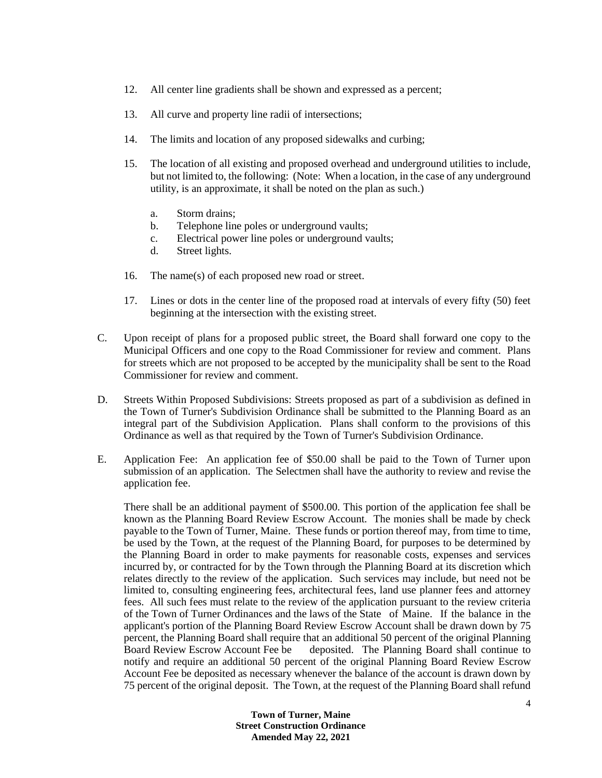- 12. All center line gradients shall be shown and expressed as a percent;
- 13. All curve and property line radii of intersections;
- 14. The limits and location of any proposed sidewalks and curbing;
- 15. The location of all existing and proposed overhead and underground utilities to include, but not limited to, the following: (Note: When a location, in the case of any underground utility, is an approximate, it shall be noted on the plan as such.)
	- a. Storm drains;
	- b. Telephone line poles or underground vaults;
	- c. Electrical power line poles or underground vaults;
	- d. Street lights.
- 16. The name(s) of each proposed new road or street.
- 17. Lines or dots in the center line of the proposed road at intervals of every fifty (50) feet beginning at the intersection with the existing street.
- C. Upon receipt of plans for a proposed public street, the Board shall forward one copy to the Municipal Officers and one copy to the Road Commissioner for review and comment. Plans for streets which are not proposed to be accepted by the municipality shall be sent to the Road Commissioner for review and comment.
- D. Streets Within Proposed Subdivisions: Streets proposed as part of a subdivision as defined in the Town of Turner's Subdivision Ordinance shall be submitted to the Planning Board as an integral part of the Subdivision Application. Plans shall conform to the provisions of this Ordinance as well as that required by the Town of Turner's Subdivision Ordinance.
- E. Application Fee: An application fee of \$50.00 shall be paid to the Town of Turner upon submission of an application. The Selectmen shall have the authority to review and revise the application fee.

There shall be an additional payment of \$500.00. This portion of the application fee shall be known as the Planning Board Review Escrow Account. The monies shall be made by check payable to the Town of Turner, Maine. These funds or portion thereof may, from time to time, be used by the Town, at the request of the Planning Board, for purposes to be determined by the Planning Board in order to make payments for reasonable costs, expenses and services incurred by, or contracted for by the Town through the Planning Board at its discretion which relates directly to the review of the application. Such services may include, but need not be limited to, consulting engineering fees, architectural fees, land use planner fees and attorney fees. All such fees must relate to the review of the application pursuant to the review criteria of the Town of Turner Ordinances and the laws of the State of Maine. If the balance in the applicant's portion of the Planning Board Review Escrow Account shall be drawn down by 75 percent, the Planning Board shall require that an additional 50 percent of the original Planning Board Review Escrow Account Fee be deposited. The Planning Board shall continue to notify and require an additional 50 percent of the original Planning Board Review Escrow Account Fee be deposited as necessary whenever the balance of the account is drawn down by 75 percent of the original deposit. The Town, at the request of the Planning Board shall refund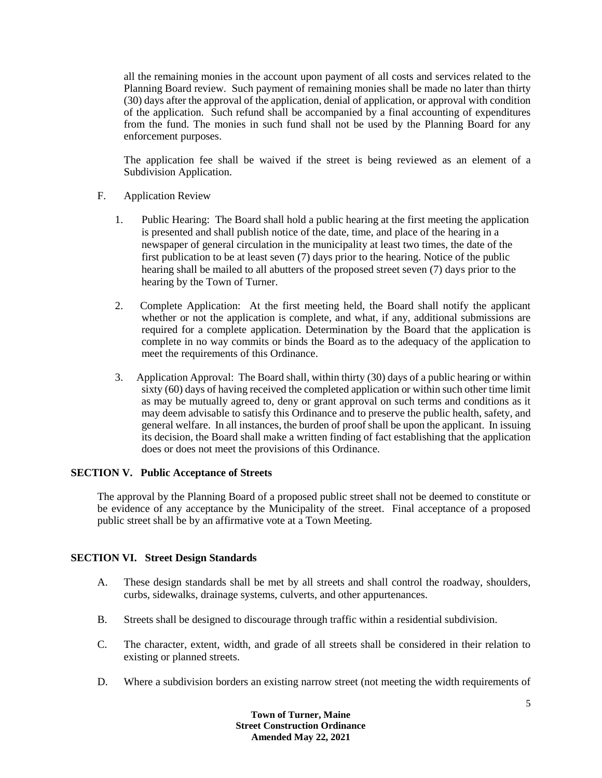all the remaining monies in the account upon payment of all costs and services related to the Planning Board review. Such payment of remaining monies shall be made no later than thirty (30) days after the approval of the application, denial of application, or approval with condition of the application. Such refund shall be accompanied by a final accounting of expenditures from the fund. The monies in such fund shall not be used by the Planning Board for any enforcement purposes.

The application fee shall be waived if the street is being reviewed as an element of a Subdivision Application.

## F. Application Review

- 1. Public Hearing: The Board shall hold a public hearing at the first meeting the application is presented and shall publish notice of the date, time, and place of the hearing in a newspaper of general circulation in the municipality at least two times, the date of the first publication to be at least seven (7) days prior to the hearing. Notice of the public hearing shall be mailed to all abutters of the proposed street seven (7) days prior to the hearing by the Town of Turner.
- 2. Complete Application: At the first meeting held, the Board shall notify the applicant whether or not the application is complete, and what, if any, additional submissions are required for a complete application. Determination by the Board that the application is complete in no way commits or binds the Board as to the adequacy of the application to meet the requirements of this Ordinance.
- 3. Application Approval: The Board shall, within thirty (30) days of a public hearing or within sixty (60) days of having received the completed application or within such other time limit as may be mutually agreed to, deny or grant approval on such terms and conditions as it may deem advisable to satisfy this Ordinance and to preserve the public health, safety, and general welfare. In all instances, the burden of proof shall be upon the applicant. In issuing its decision, the Board shall make a written finding of fact establishing that the application does or does not meet the provisions of this Ordinance.

## **SECTION V. Public Acceptance of Streets**

The approval by the Planning Board of a proposed public street shall not be deemed to constitute or be evidence of any acceptance by the Municipality of the street. Final acceptance of a proposed public street shall be by an affirmative vote at a Town Meeting.

## **SECTION VI. Street Design Standards**

- A. These design standards shall be met by all streets and shall control the roadway, shoulders, curbs, sidewalks, drainage systems, culverts, and other appurtenances.
- B. Streets shall be designed to discourage through traffic within a residential subdivision.
- C. The character, extent, width, and grade of all streets shall be considered in their relation to existing or planned streets.
- D. Where a subdivision borders an existing narrow street (not meeting the width requirements of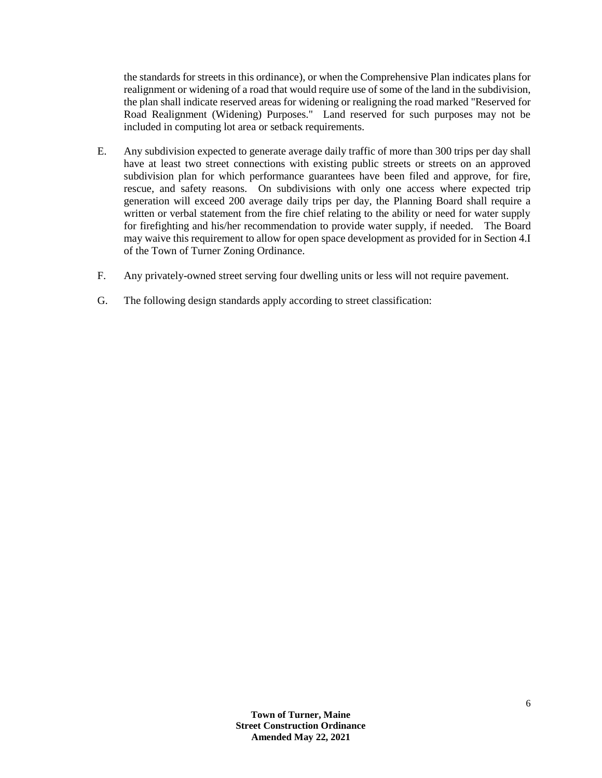the standards for streets in this ordinance), or when the Comprehensive Plan indicates plans for realignment or widening of a road that would require use of some of the land in the subdivision, the plan shall indicate reserved areas for widening or realigning the road marked "Reserved for Road Realignment (Widening) Purposes." Land reserved for such purposes may not be included in computing lot area or setback requirements.

- E. Any subdivision expected to generate average daily traffic of more than 300 trips per day shall have at least two street connections with existing public streets or streets on an approved subdivision plan for which performance guarantees have been filed and approve, for fire, rescue, and safety reasons. On subdivisions with only one access where expected trip generation will exceed 200 average daily trips per day, the Planning Board shall require a written or verbal statement from the fire chief relating to the ability or need for water supply for firefighting and his/her recommendation to provide water supply, if needed. The Board may waive this requirement to allow for open space development as provided for in Section 4.I of the Town of Turner Zoning Ordinance.
- F. Any privately-owned street serving four dwelling units or less will not require pavement.
- G. The following design standards apply according to street classification: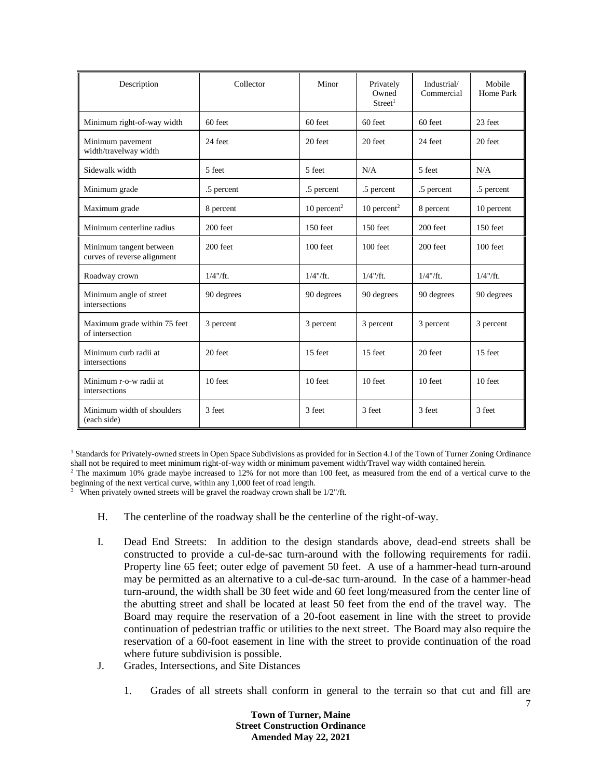| Description                                            | Collector   | Minor                     | Privately<br>Owned<br>Street <sup>1</sup> | Industrial/<br>Commercial | Mobile<br>Home Park |
|--------------------------------------------------------|-------------|---------------------------|-------------------------------------------|---------------------------|---------------------|
| Minimum right-of-way width                             | $60$ feet   | $60$ feet                 | 60 feet                                   | $60$ feet                 | 23 feet             |
| Minimum pavement<br>width/travelway width              | 24 feet     | 20 feet                   | 20 feet                                   | 24 feet                   | 20 feet             |
| Sidewalk width                                         | 5 feet      | 5 feet                    | N/A                                       | 5 feet                    | N/A                 |
| Minimum grade                                          | .5 percent  | .5 percent                | .5 percent                                | .5 percent                | .5 percent          |
| Maximum grade                                          | 8 percent   | $10$ percent <sup>2</sup> | $10$ percent <sup>2</sup>                 | 8 percent                 | 10 percent          |
| Minimum centerline radius                              | 200 feet    | 150 feet                  | $150$ feet                                | 200 feet                  | $150$ feet          |
| Minimum tangent between<br>curves of reverse alignment | 200 feet    | 100 feet                  | 100 feet                                  | 200 feet                  | 100 feet            |
| Roadway crown                                          | $1/4$ "/ft. | $1/4$ "/ft.               | $1/4$ "/ft.                               | $1/4$ "/ft.               | $1/4$ "/ft.         |
| Minimum angle of street<br>intersections               | 90 degrees  | 90 degrees                | 90 degrees                                | 90 degrees                | 90 degrees          |
| Maximum grade within 75 feet<br>of intersection        | 3 percent   | 3 percent                 | 3 percent                                 | 3 percent                 | 3 percent           |
| Minimum curb radii at<br>intersections                 | 20 feet     | 15 feet                   | 15 feet                                   | 20 feet                   | 15 feet             |
| Minimum r-o-w radii at<br>intersections                | 10 feet     | 10 feet                   | 10 feet                                   | 10 feet                   | 10 feet             |
| Minimum width of shoulders<br>(each side)              | 3 feet      | 3 feet                    | 3 feet                                    | 3 feet                    | 3 feet              |

<sup>1</sup> Standards for Privately-owned streets in Open Space Subdivisions as provided for in Section 4.I of the Town of Turner Zoning Ordinance shall not be required to meet minimum right-of-way width or minimum pavement width/Travel way width contained herein.

<sup>2</sup> The maximum 10% grade maybe increased to 12% for not more than 100 feet, as measured from the end of a vertical curve to the beginning of the next vertical curve, within any 1,000 feet of road length.

<sup>3</sup> When privately owned streets will be gravel the roadway crown shall be  $1/2$ "/ft.

- H. The centerline of the roadway shall be the centerline of the right-of-way.
- I. Dead End Streets: In addition to the design standards above, dead-end streets shall be constructed to provide a cul-de-sac turn-around with the following requirements for radii. Property line 65 feet; outer edge of pavement 50 feet. A use of a hammer-head turn-around may be permitted as an alternative to a cul-de-sac turn-around. In the case of a hammer-head turn-around, the width shall be 30 feet wide and 60 feet long/measured from the center line of the abutting street and shall be located at least 50 feet from the end of the travel way. The Board may require the reservation of a 20-foot easement in line with the street to provide continuation of pedestrian traffic or utilities to the next street. The Board may also require the reservation of a 60-foot easement in line with the street to provide continuation of the road where future subdivision is possible.
- J. Grades, Intersections, and Site Distances
	- 1. Grades of all streets shall conform in general to the terrain so that cut and fill are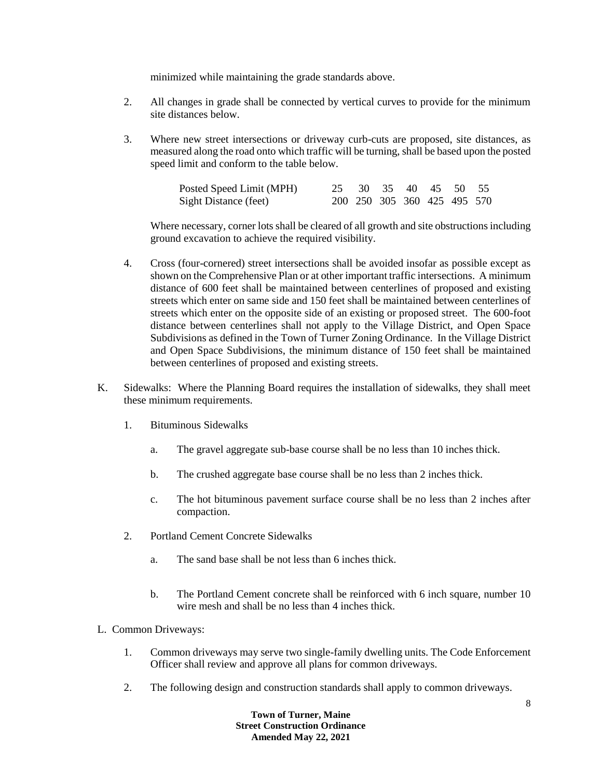minimized while maintaining the grade standards above.

- 2. All changes in grade shall be connected by vertical curves to provide for the minimum site distances below.
- 3. Where new street intersections or driveway curb-cuts are proposed, site distances, as measured along the road onto which traffic will be turning, shall be based upon the posted speed limit and conform to the table below.

| Posted Speed Limit (MPH) |  | 25 30 35 40 45 50 55        |  |  |
|--------------------------|--|-----------------------------|--|--|
| Sight Distance (feet)    |  | 200 250 305 360 425 495 570 |  |  |

Where necessary, corner lots shall be cleared of all growth and site obstructions including ground excavation to achieve the required visibility.

- 4. Cross (four-cornered) street intersections shall be avoided insofar as possible except as shown on the Comprehensive Plan or at other important traffic intersections. A minimum distance of 600 feet shall be maintained between centerlines of proposed and existing streets which enter on same side and 150 feet shall be maintained between centerlines of streets which enter on the opposite side of an existing or proposed street. The 600-foot distance between centerlines shall not apply to the Village District, and Open Space Subdivisions as defined in the Town of Turner Zoning Ordinance. In the Village District and Open Space Subdivisions, the minimum distance of 150 feet shall be maintained between centerlines of proposed and existing streets.
- K. Sidewalks: Where the Planning Board requires the installation of sidewalks, they shall meet these minimum requirements.
	- 1. Bituminous Sidewalks
		- a. The gravel aggregate sub-base course shall be no less than 10 inches thick.
		- b. The crushed aggregate base course shall be no less than 2 inches thick.
		- c. The hot bituminous pavement surface course shall be no less than 2 inches after compaction.
	- 2. Portland Cement Concrete Sidewalks
		- a. The sand base shall be not less than 6 inches thick.
		- b. The Portland Cement concrete shall be reinforced with 6 inch square, number 10 wire mesh and shall be no less than 4 inches thick.
- L. Common Driveways:
	- 1. Common driveways may serve two single-family dwelling units. The Code Enforcement Officer shall review and approve all plans for common driveways.
	- 2. The following design and construction standards shall apply to common driveways.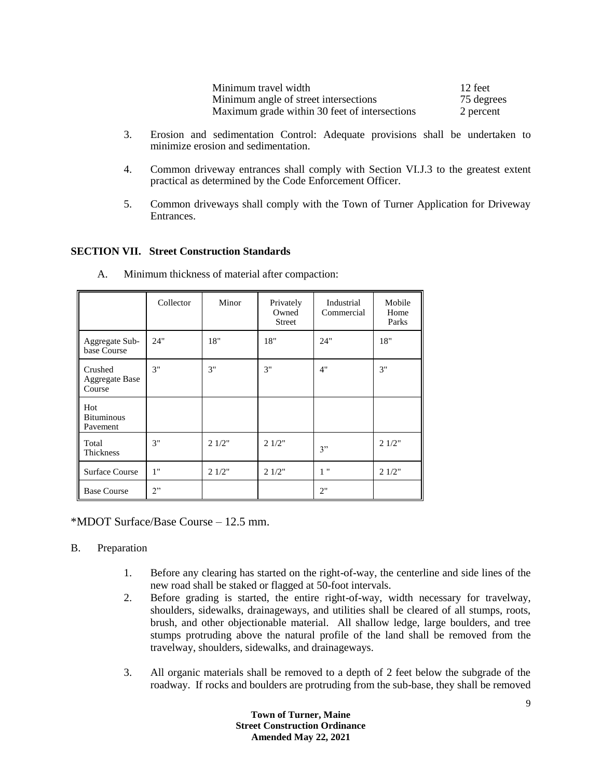| Minimum travel width                          | 12 feet    |
|-----------------------------------------------|------------|
| Minimum angle of street intersections         | 75 degrees |
| Maximum grade within 30 feet of intersections | 2 percent  |

- 3. Erosion and sedimentation Control: Adequate provisions shall be undertaken to minimize erosion and sedimentation.
- 4. Common driveway entrances shall comply with Section VI.J.3 to the greatest extent practical as determined by the Code Enforcement Officer.
- 5. Common driveways shall comply with the Town of Turner Application for Driveway Entrances.

## **SECTION VII. Street Construction Standards**

|                                      | Collector | Minor | Privately<br>Owned<br><b>Street</b> | Industrial<br>Commercial | Mobile<br>Home<br>Parks |
|--------------------------------------|-----------|-------|-------------------------------------|--------------------------|-------------------------|
| Aggregate Sub-<br>base Course        | 24"       | 18"   | 18"                                 | 24"                      | 18"                     |
| Crushed<br>Aggregate Base<br>Course  | 3"        | 3"    | 3"                                  | 4"                       | 3"                      |
| Hot<br><b>Bituminous</b><br>Pavement |           |       |                                     |                          |                         |
| Total<br>Thickness                   | 3"        | 21/2" | 21/2"                               | 3"                       | 21/2"                   |
| <b>Surface Course</b>                | 1"        | 21/2" | 21/2"                               | 1"                       | 21/2"                   |
| <b>Base Course</b>                   | 2"        |       |                                     | 2"                       |                         |

A. Minimum thickness of material after compaction:

\*MDOT Surface/Base Course – 12.5 mm.

## B. Preparation

- 1. Before any clearing has started on the right-of-way, the centerline and side lines of the new road shall be staked or flagged at 50-foot intervals.
- 2. Before grading is started, the entire right-of-way, width necessary for travelway, shoulders, sidewalks, drainageways, and utilities shall be cleared of all stumps, roots, brush, and other objectionable material. All shallow ledge, large boulders, and tree stumps protruding above the natural profile of the land shall be removed from the travelway, shoulders, sidewalks, and drainageways.
- 3. All organic materials shall be removed to a depth of 2 feet below the subgrade of the roadway. If rocks and boulders are protruding from the sub-base, they shall be removed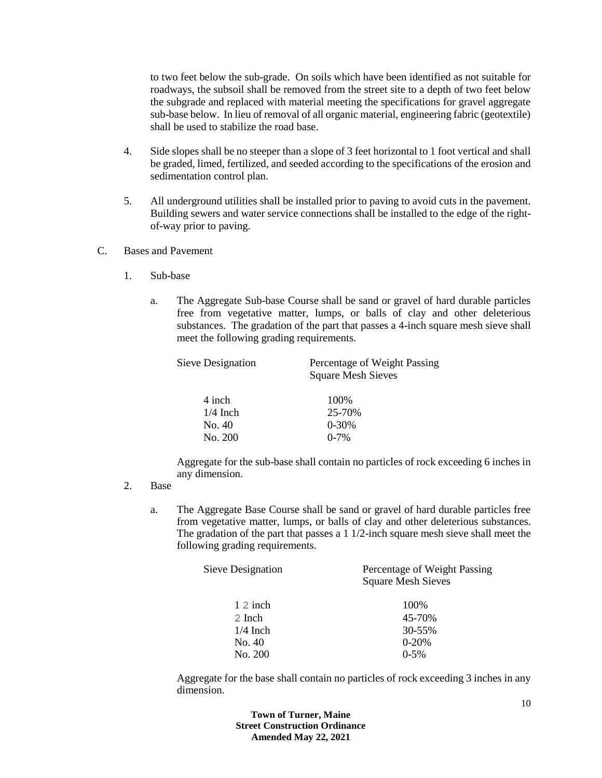to two feet below the sub-grade. On soils which have been identified as not suitable for roadways, the subsoil shall be removed from the street site to a depth of two feet below the subgrade and replaced with material meeting the specifications for gravel aggregate sub-base below. In lieu of removal of all organic material, engineering fabric (geotextile) shall be used to stabilize the road base.

- 4. Side slopes shall be no steeper than a slope of 3 feet horizontal to 1 foot vertical and shall be graded, limed, fertilized, and seeded according to the specifications of the erosion and sedimentation control plan.
- 5. All underground utilities shall be installed prior to paving to avoid cuts in the pavement. Building sewers and water service connections shall be installed to the edge of the rightof-way prior to paving.
- C. Bases and Pavement
	- 1. Sub-base
		- a. The Aggregate Sub-base Course shall be sand or gravel of hard durable particles free from vegetative matter, lumps, or balls of clay and other deleterious substances. The gradation of the part that passes a 4-inch square mesh sieve shall meet the following grading requirements.

| Percentage of Weight Passing<br><b>Square Mesh Sieves</b> |  |  |  |
|-----------------------------------------------------------|--|--|--|
| 100\%                                                     |  |  |  |
| 25-70%                                                    |  |  |  |
| $0 - 30%$                                                 |  |  |  |
| $0 - 7\%$                                                 |  |  |  |
|                                                           |  |  |  |

Aggregate for the sub-base shall contain no particles of rock exceeding 6 inches in any dimension.

- 2. Base
	- a. The Aggregate Base Course shall be sand or gravel of hard durable particles free from vegetative matter, lumps, or balls of clay and other deleterious substances. The gradation of the part that passes a 1 1/2-inch square mesh sieve shall meet the following grading requirements.

| Percentage of Weight Passing<br><b>Square Mesh Sieves</b> |  |  |
|-----------------------------------------------------------|--|--|
| 100%                                                      |  |  |
| 45-70%                                                    |  |  |
| 30-55%                                                    |  |  |
| $0 - 20%$                                                 |  |  |
| $0-5%$                                                    |  |  |
|                                                           |  |  |

Aggregate for the base shall contain no particles of rock exceeding 3 inches in any dimension.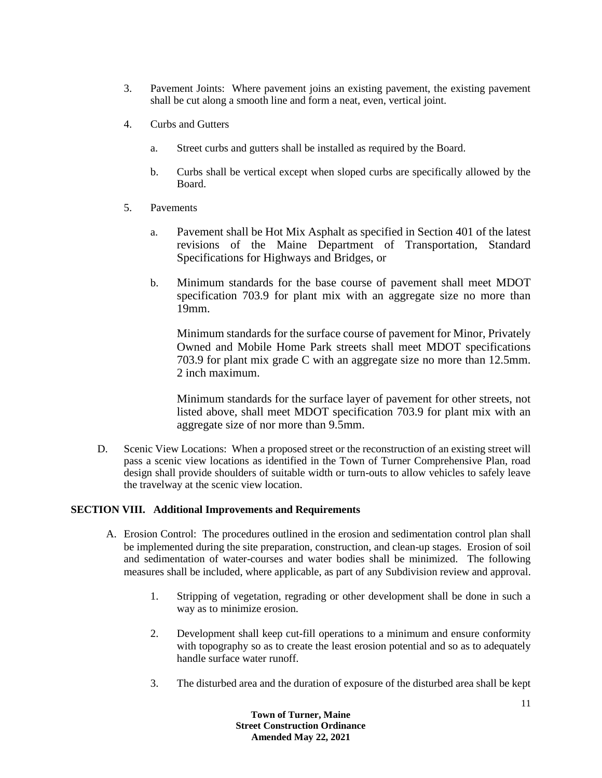- 3. Pavement Joints: Where pavement joins an existing pavement, the existing pavement shall be cut along a smooth line and form a neat, even, vertical joint.
- 4. Curbs and Gutters
	- a. Street curbs and gutters shall be installed as required by the Board.
	- b. Curbs shall be vertical except when sloped curbs are specifically allowed by the Board.
- 5. Pavements
	- a. Pavement shall be Hot Mix Asphalt as specified in Section 401 of the latest revisions of the Maine Department of Transportation, Standard Specifications for Highways and Bridges, or
	- b. Minimum standards for the base course of pavement shall meet MDOT specification 703.9 for plant mix with an aggregate size no more than 19mm.

Minimum standards for the surface course of pavement for Minor, Privately Owned and Mobile Home Park streets shall meet MDOT specifications 703.9 for plant mix grade C with an aggregate size no more than 12.5mm. 2 inch maximum.

Minimum standards for the surface layer of pavement for other streets, not listed above, shall meet MDOT specification 703.9 for plant mix with an aggregate size of nor more than 9.5mm.

D. Scenic View Locations: When a proposed street or the reconstruction of an existing street will pass a scenic view locations as identified in the Town of Turner Comprehensive Plan, road design shall provide shoulders of suitable width or turn-outs to allow vehicles to safely leave the travelway at the scenic view location.

## **SECTION VIII. Additional Improvements and Requirements**

- A. Erosion Control: The procedures outlined in the erosion and sedimentation control plan shall be implemented during the site preparation, construction, and clean-up stages. Erosion of soil and sedimentation of water-courses and water bodies shall be minimized. The following measures shall be included, where applicable, as part of any Subdivision review and approval.
	- 1. Stripping of vegetation, regrading or other development shall be done in such a way as to minimize erosion.
	- 2. Development shall keep cut-fill operations to a minimum and ensure conformity with topography so as to create the least erosion potential and so as to adequately handle surface water runoff.
	- 3. The disturbed area and the duration of exposure of the disturbed area shall be kept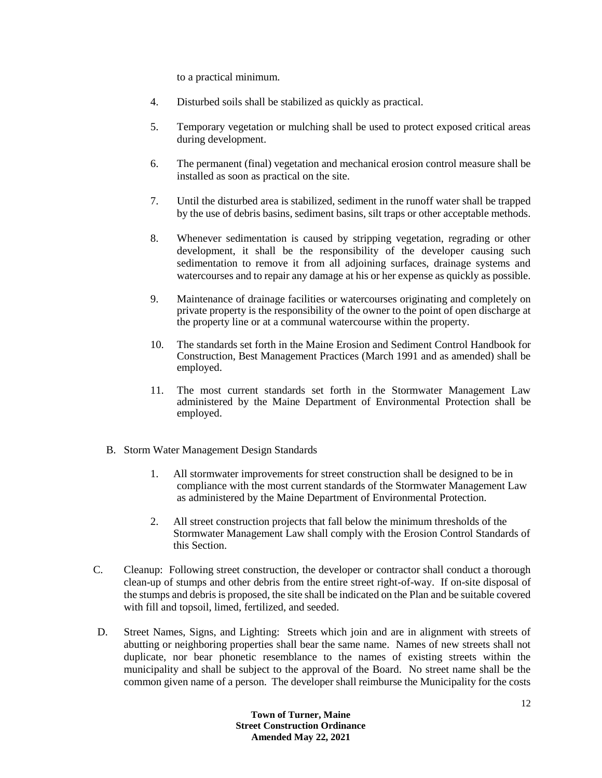to a practical minimum.

- 4. Disturbed soils shall be stabilized as quickly as practical.
- 5. Temporary vegetation or mulching shall be used to protect exposed critical areas during development.
- 6. The permanent (final) vegetation and mechanical erosion control measure shall be installed as soon as practical on the site.
- 7. Until the disturbed area is stabilized, sediment in the runoff water shall be trapped by the use of debris basins, sediment basins, silt traps or other acceptable methods.
- 8. Whenever sedimentation is caused by stripping vegetation, regrading or other development, it shall be the responsibility of the developer causing such sedimentation to remove it from all adjoining surfaces, drainage systems and watercourses and to repair any damage at his or her expense as quickly as possible.
- 9. Maintenance of drainage facilities or watercourses originating and completely on private property is the responsibility of the owner to the point of open discharge at the property line or at a communal watercourse within the property.
- 10. The standards set forth in the Maine Erosion and Sediment Control Handbook for Construction, Best Management Practices (March 1991 and as amended) shall be employed.
- 11. The most current standards set forth in the Stormwater Management Law administered by the Maine Department of Environmental Protection shall be employed.
- B. Storm Water Management Design Standards
	- 1. All stormwater improvements for street construction shall be designed to be in compliance with the most current standards of the Stormwater Management Law as administered by the Maine Department of Environmental Protection.
	- 2. All street construction projects that fall below the minimum thresholds of the Stormwater Management Law shall comply with the Erosion Control Standards of this Section.
- C. Cleanup: Following street construction, the developer or contractor shall conduct a thorough clean-up of stumps and other debris from the entire street right-of-way. If on-site disposal of the stumps and debris is proposed, the site shall be indicated on the Plan and be suitable covered with fill and topsoil, limed, fertilized, and seeded.
- D. Street Names, Signs, and Lighting: Streets which join and are in alignment with streets of abutting or neighboring properties shall bear the same name. Names of new streets shall not duplicate, nor bear phonetic resemblance to the names of existing streets within the municipality and shall be subject to the approval of the Board. No street name shall be the common given name of a person. The developer shall reimburse the Municipality for the costs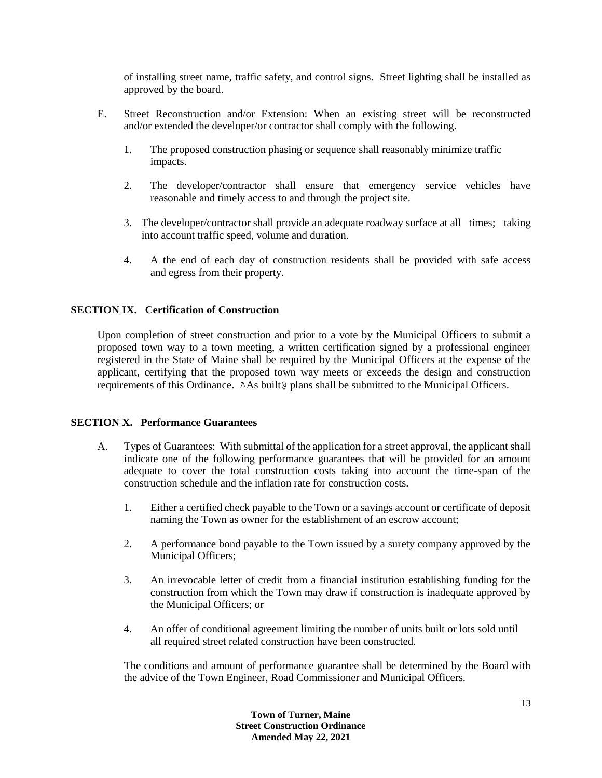of installing street name, traffic safety, and control signs. Street lighting shall be installed as approved by the board.

- E. Street Reconstruction and/or Extension: When an existing street will be reconstructed and/or extended the developer/or contractor shall comply with the following.
	- 1. The proposed construction phasing or sequence shall reasonably minimize traffic impacts.
	- 2. The developer/contractor shall ensure that emergency service vehicles have reasonable and timely access to and through the project site.
	- 3. The developer/contractor shall provide an adequate roadway surface at all times; taking into account traffic speed, volume and duration.
	- 4. A the end of each day of construction residents shall be provided with safe access and egress from their property.

## **SECTION IX. Certification of Construction**

Upon completion of street construction and prior to a vote by the Municipal Officers to submit a proposed town way to a town meeting, a written certification signed by a professional engineer registered in the State of Maine shall be required by the Municipal Officers at the expense of the applicant, certifying that the proposed town way meets or exceeds the design and construction requirements of this Ordinance. AAs built@ plans shall be submitted to the Municipal Officers.

## **SECTION X. Performance Guarantees**

- A. Types of Guarantees: With submittal of the application for a street approval, the applicant shall indicate one of the following performance guarantees that will be provided for an amount adequate to cover the total construction costs taking into account the time-span of the construction schedule and the inflation rate for construction costs.
	- 1. Either a certified check payable to the Town or a savings account or certificate of deposit naming the Town as owner for the establishment of an escrow account;
	- 2. A performance bond payable to the Town issued by a surety company approved by the Municipal Officers;
	- 3. An irrevocable letter of credit from a financial institution establishing funding for the construction from which the Town may draw if construction is inadequate approved by the Municipal Officers; or
	- 4. An offer of conditional agreement limiting the number of units built or lots sold until all required street related construction have been constructed.

The conditions and amount of performance guarantee shall be determined by the Board with the advice of the Town Engineer, Road Commissioner and Municipal Officers.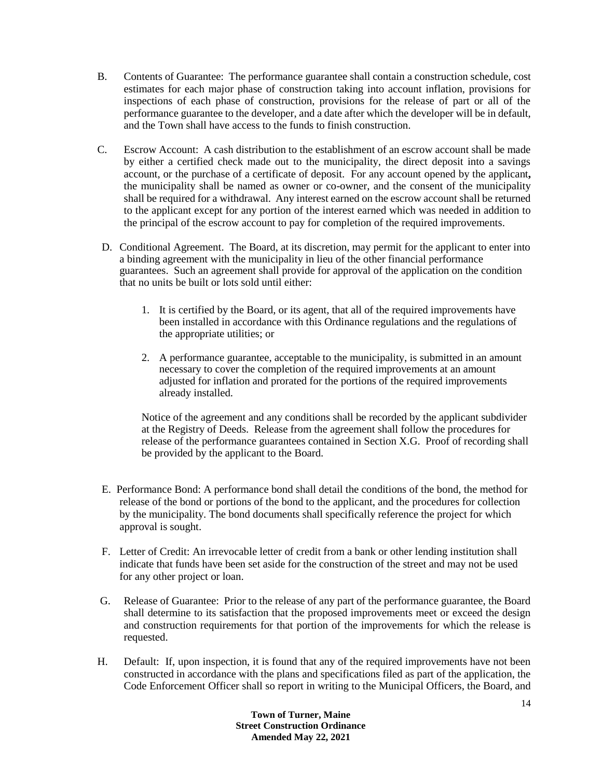- B. Contents of Guarantee: The performance guarantee shall contain a construction schedule, cost estimates for each major phase of construction taking into account inflation, provisions for inspections of each phase of construction, provisions for the release of part or all of the performance guarantee to the developer, and a date after which the developer will be in default, and the Town shall have access to the funds to finish construction.
- C. Escrow Account: A cash distribution to the establishment of an escrow account shall be made by either a certified check made out to the municipality, the direct deposit into a savings account, or the purchase of a certificate of deposit. For any account opened by the applicant**,** the municipality shall be named as owner or co-owner, and the consent of the municipality shall be required for a withdrawal. Any interest earned on the escrow account shall be returned to the applicant except for any portion of the interest earned which was needed in addition to the principal of the escrow account to pay for completion of the required improvements.
- D. Conditional Agreement. The Board, at its discretion, may permit for the applicant to enter into a binding agreement with the municipality in lieu of the other financial performance guarantees. Such an agreement shall provide for approval of the application on the condition that no units be built or lots sold until either:
	- 1. It is certified by the Board, or its agent, that all of the required improvements have been installed in accordance with this Ordinance regulations and the regulations of the appropriate utilities; or
	- 2. A performance guarantee, acceptable to the municipality, is submitted in an amount necessary to cover the completion of the required improvements at an amount adjusted for inflation and prorated for the portions of the required improvements already installed.

Notice of the agreement and any conditions shall be recorded by the applicant subdivider at the Registry of Deeds. Release from the agreement shall follow the procedures for release of the performance guarantees contained in Section X.G. Proof of recording shall be provided by the applicant to the Board.

- E. Performance Bond: A performance bond shall detail the conditions of the bond, the method for release of the bond or portions of the bond to the applicant, and the procedures for collection by the municipality. The bond documents shall specifically reference the project for which approval is sought.
- F. Letter of Credit: An irrevocable letter of credit from a bank or other lending institution shall indicate that funds have been set aside for the construction of the street and may not be used for any other project or loan.
- G. Release of Guarantee: Prior to the release of any part of the performance guarantee, the Board shall determine to its satisfaction that the proposed improvements meet or exceed the design and construction requirements for that portion of the improvements for which the release is requested.
- H. Default: If, upon inspection, it is found that any of the required improvements have not been constructed in accordance with the plans and specifications filed as part of the application, the Code Enforcement Officer shall so report in writing to the Municipal Officers, the Board, and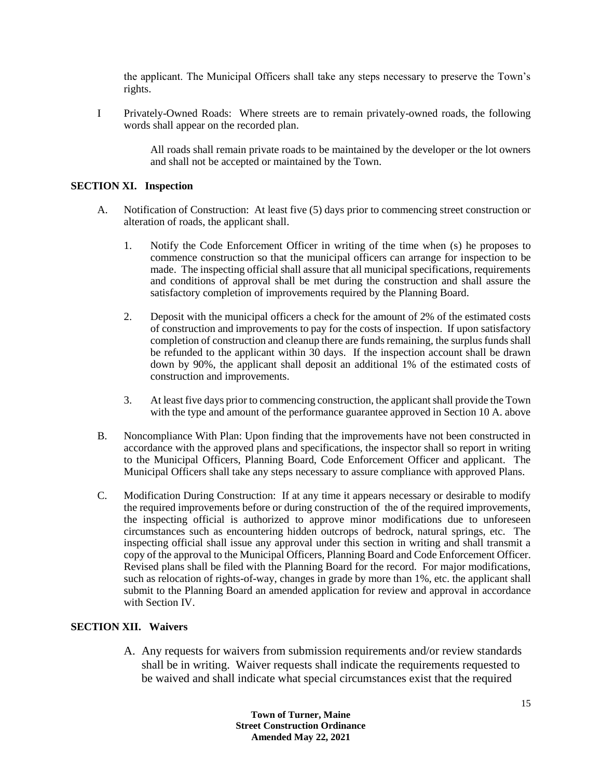the applicant. The Municipal Officers shall take any steps necessary to preserve the Town's rights.

I Privately-Owned Roads: Where streets are to remain privately-owned roads, the following words shall appear on the recorded plan.

> All roads shall remain private roads to be maintained by the developer or the lot owners and shall not be accepted or maintained by the Town.

#### **SECTION XI. Inspection**

- A. Notification of Construction: At least five (5) days prior to commencing street construction or alteration of roads, the applicant shall.
	- 1. Notify the Code Enforcement Officer in writing of the time when (s) he proposes to commence construction so that the municipal officers can arrange for inspection to be made. The inspecting official shall assure that all municipal specifications, requirements and conditions of approval shall be met during the construction and shall assure the satisfactory completion of improvements required by the Planning Board.
	- 2. Deposit with the municipal officers a check for the amount of 2% of the estimated costs of construction and improvements to pay for the costs of inspection. If upon satisfactory completion of construction and cleanup there are funds remaining, the surplus funds shall be refunded to the applicant within 30 days. If the inspection account shall be drawn down by 90%, the applicant shall deposit an additional 1% of the estimated costs of construction and improvements.
	- 3. At least five days prior to commencing construction, the applicant shall provide the Town with the type and amount of the performance guarantee approved in Section 10 A. above
- B. Noncompliance With Plan: Upon finding that the improvements have not been constructed in accordance with the approved plans and specifications, the inspector shall so report in writing to the Municipal Officers, Planning Board, Code Enforcement Officer and applicant. The Municipal Officers shall take any steps necessary to assure compliance with approved Plans.
- C. Modification During Construction: If at any time it appears necessary or desirable to modify the required improvements before or during construction of the of the required improvements, the inspecting official is authorized to approve minor modifications due to unforeseen circumstances such as encountering hidden outcrops of bedrock, natural springs, etc. The inspecting official shall issue any approval under this section in writing and shall transmit a copy of the approval to the Municipal Officers, Planning Board and Code Enforcement Officer. Revised plans shall be filed with the Planning Board for the record. For major modifications, such as relocation of rights-of-way, changes in grade by more than 1%, etc. the applicant shall submit to the Planning Board an amended application for review and approval in accordance with Section IV.

## **SECTION XII. Waivers**

A. Any requests for waivers from submission requirements and/or review standards shall be in writing. Waiver requests shall indicate the requirements requested to be waived and shall indicate what special circumstances exist that the required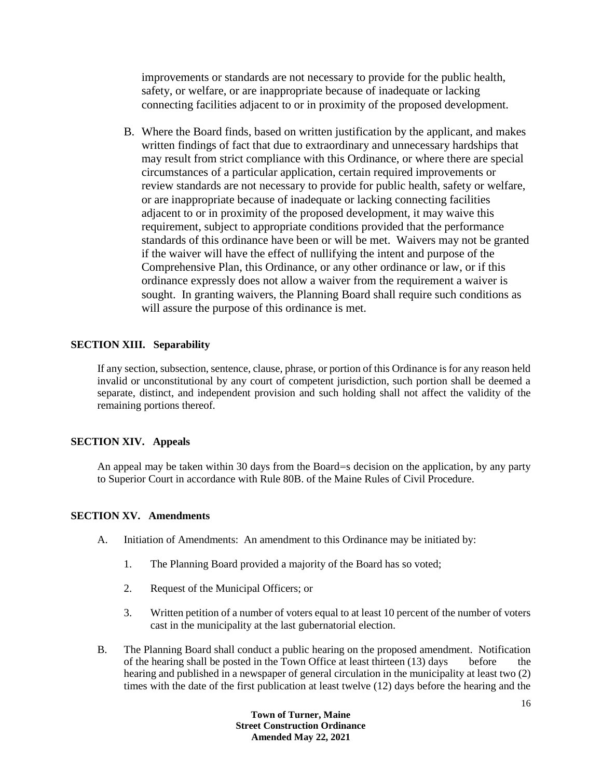improvements or standards are not necessary to provide for the public health, safety, or welfare, or are inappropriate because of inadequate or lacking connecting facilities adjacent to or in proximity of the proposed development.

B. Where the Board finds, based on written justification by the applicant, and makes written findings of fact that due to extraordinary and unnecessary hardships that may result from strict compliance with this Ordinance, or where there are special circumstances of a particular application, certain required improvements or review standards are not necessary to provide for public health, safety or welfare, or are inappropriate because of inadequate or lacking connecting facilities adjacent to or in proximity of the proposed development, it may waive this requirement, subject to appropriate conditions provided that the performance standards of this ordinance have been or will be met. Waivers may not be granted if the waiver will have the effect of nullifying the intent and purpose of the Comprehensive Plan, this Ordinance, or any other ordinance or law, or if this ordinance expressly does not allow a waiver from the requirement a waiver is sought. In granting waivers, the Planning Board shall require such conditions as will assure the purpose of this ordinance is met.

## **SECTION XIII. Separability**

If any section, subsection, sentence, clause, phrase, or portion of this Ordinance is for any reason held invalid or unconstitutional by any court of competent jurisdiction, such portion shall be deemed a separate, distinct, and independent provision and such holding shall not affect the validity of the remaining portions thereof.

## **SECTION XIV. Appeals**

An appeal may be taken within 30 days from the Board=s decision on the application, by any party to Superior Court in accordance with Rule 80B. of the Maine Rules of Civil Procedure.

## **SECTION XV. Amendments**

- A. Initiation of Amendments: An amendment to this Ordinance may be initiated by:
	- 1. The Planning Board provided a majority of the Board has so voted;
	- 2. Request of the Municipal Officers; or
	- 3. Written petition of a number of voters equal to at least 10 percent of the number of voters cast in the municipality at the last gubernatorial election.
- B. The Planning Board shall conduct a public hearing on the proposed amendment. Notification of the hearing shall be posted in the Town Office at least thirteen (13) days before the hearing and published in a newspaper of general circulation in the municipality at least two (2) times with the date of the first publication at least twelve (12) days before the hearing and the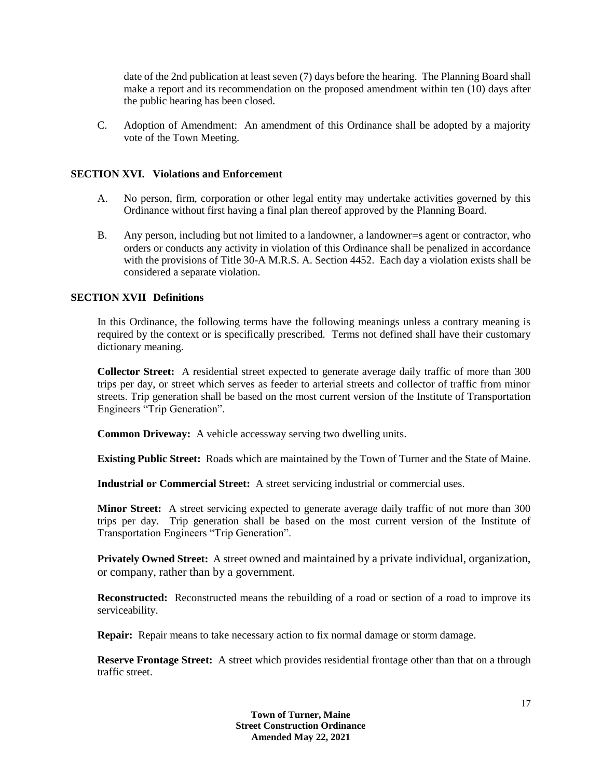date of the 2nd publication at least seven (7) days before the hearing. The Planning Board shall make a report and its recommendation on the proposed amendment within ten (10) days after the public hearing has been closed.

C. Adoption of Amendment: An amendment of this Ordinance shall be adopted by a majority vote of the Town Meeting.

#### **SECTION XVI. Violations and Enforcement**

- A. No person, firm, corporation or other legal entity may undertake activities governed by this Ordinance without first having a final plan thereof approved by the Planning Board.
- B. Any person, including but not limited to a landowner, a landowner=s agent or contractor, who orders or conducts any activity in violation of this Ordinance shall be penalized in accordance with the provisions of Title 30-A M.R.S. A. Section 4452. Each day a violation exists shall be considered a separate violation.

#### **SECTION XVII Definitions**

In this Ordinance, the following terms have the following meanings unless a contrary meaning is required by the context or is specifically prescribed. Terms not defined shall have their customary dictionary meaning.

**Collector Street:** A residential street expected to generate average daily traffic of more than 300 trips per day, or street which serves as feeder to arterial streets and collector of traffic from minor streets. Trip generation shall be based on the most current version of the Institute of Transportation Engineers "Trip Generation".

**Common Driveway:** A vehicle accessway serving two dwelling units.

**Existing Public Street:** Roads which are maintained by the Town of Turner and the State of Maine.

**Industrial or Commercial Street:** A street servicing industrial or commercial uses.

**Minor Street:** A street servicing expected to generate average daily traffic of not more than 300 trips per day. Trip generation shall be based on the most current version of the Institute of Transportation Engineers "Trip Generation".

**Privately Owned Street:** A street owned and maintained by a private individual, organization, or company, rather than by a government.

**Reconstructed:** Reconstructed means the rebuilding of a road or section of a road to improve its serviceability.

**Repair:** Repair means to take necessary action to fix normal damage or storm damage.

**Reserve Frontage Street:** A street which provides residential frontage other than that on a through traffic street.